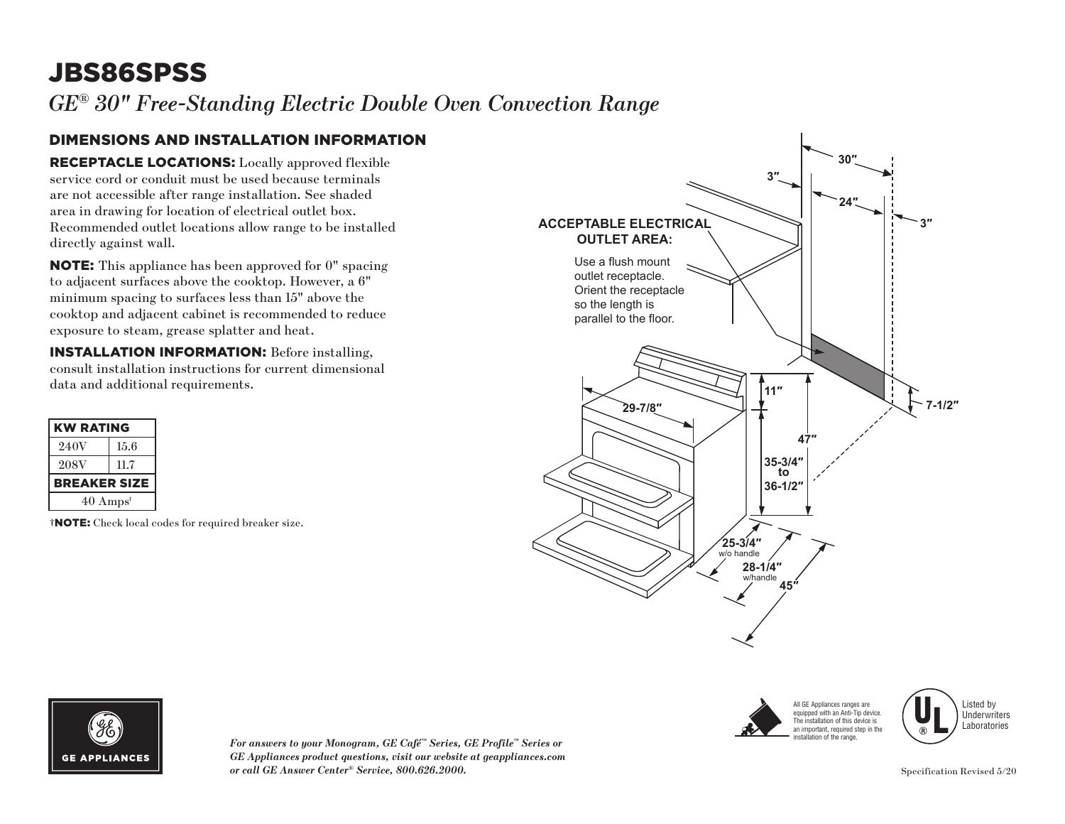# JBS86SPSS

*GE® 30" Free-Standing Electric Double Oven Convection Range* 

#### DIMENSIONS AND INSTALLATION INFORMATION

RECEPTACLE LOCATIONS: Locally approved flexible service cord or conduit must be used because terminals are not accessible after range installation. See shaded area in drawing for location of electrical outlet box. Recommended outlet locations allow range to be installed directly against wall.

NOTE: This appliance has been approved for 0" spacing to adjacent surfaces above the cooktop. However, a 6" minimum spacing to surfaces less than 15" above the cooktop and adjacent cabinet is recommended to reduce exposure to steam, grease splatter and heat.

INSTALLATION INFORMATION: Before installing, consult installation instructions for current dimensional data and additional requirements.

| <b>KW RATING</b>            |  |  |  |  |  |  |
|-----------------------------|--|--|--|--|--|--|
| 15.6                        |  |  |  |  |  |  |
| 11.7                        |  |  |  |  |  |  |
| <b>BREAKER SIZE</b>         |  |  |  |  |  |  |
| $40 \text{ Amps}^{\dagger}$ |  |  |  |  |  |  |
|                             |  |  |  |  |  |  |

†NOTE: Check local codes for required breaker size.





Listed by **Underwriters** Laboratories



*For answers to your Monogram, GE Café™ Series, GE Profile™ Series or GE Appliances product questions, visit our website at geappliances.com or call GE Answer Center® Service, 800.626.2000.* Specification Revised 5/20